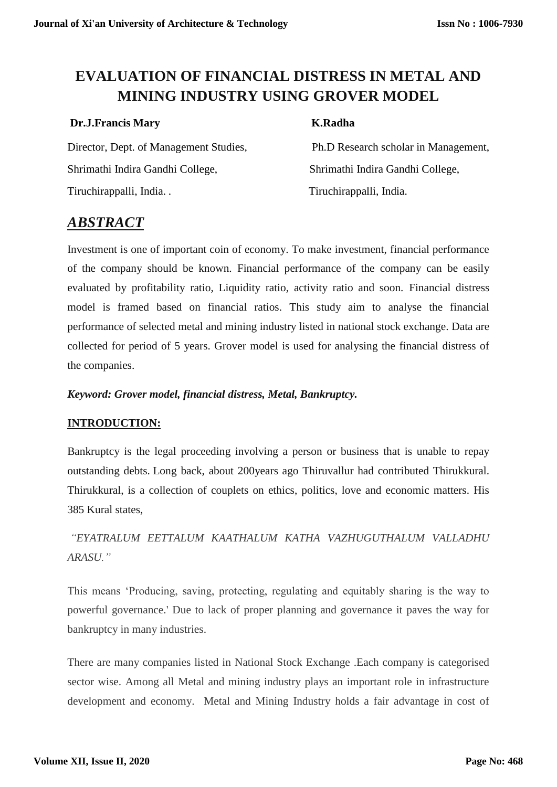# **EVALUATION OF FINANCIAL DISTRESS IN METAL AND MINING INDUSTRY USING GROVER MODEL**

## **Dr.J.Francis Mary K.Radha**

Director, Dept. of Management Studies, Ph.D Research scholar in Management, Shrimathi Indira Gandhi College, Shrimathi Indira Gandhi College, Tiruchirappalli, India. . Tiruchirappalli, India.

## *ABSTRACT*

Investment is one of important coin of economy. To make investment, financial performance of the company should be known. Financial performance of the company can be easily evaluated by profitability ratio, Liquidity ratio, activity ratio and soon. Financial distress model is framed based on financial ratios. This study aim to analyse the financial performance of selected metal and mining industry listed in national stock exchange. Data are collected for period of 5 years. Grover model is used for analysing the financial distress of the companies.

### *Keyword: Grover model, financial distress, Metal, Bankruptcy.*

### **INTRODUCTION:**

Bankruptcy is the legal proceeding involving a person or business that is unable to repay outstanding debts. Long back, about 200years ago Thiruvallur had contributed Thirukkural. Thirukkural, is a collection of couplets on ethics, politics, love and economic matters. His 385 Kural states,

## *"EYATRALUM EETTALUM KAATHALUM KATHA VAZHUGUTHALUM VALLADHU ARASU."*

This means 'Producing, saving, protecting, regulating and equitably sharing is the way to powerful governance.' Due to lack of proper planning and governance it paves the way for bankruptcy in many industries.

There are many companies listed in National Stock Exchange .Each company is categorised sector wise. Among all Metal and mining industry plays an important role in infrastructure development and economy. Metal and Mining Industry holds a fair advantage in cost of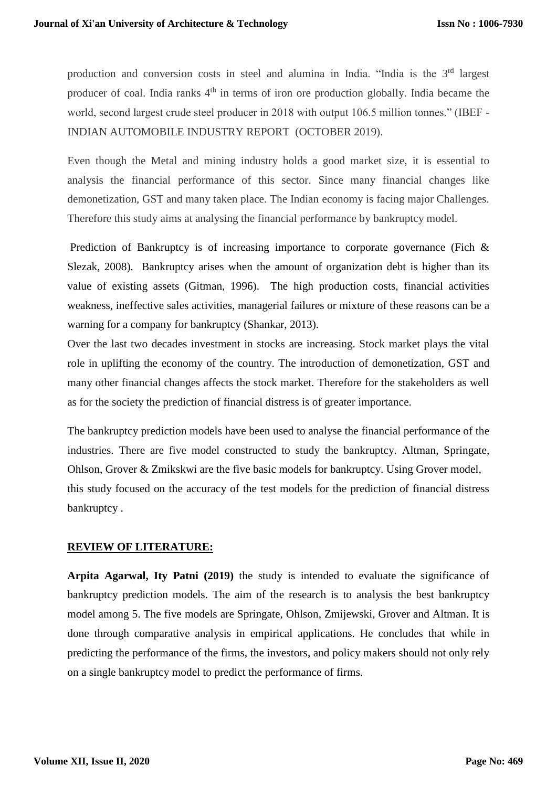production and conversion costs in steel and alumina in India. "India is the 3<sup>rd</sup> largest producer of coal. India ranks 4<sup>th</sup> in terms of iron ore production globally. India became the world, second largest crude steel producer in 2018 with output 106.5 million tonnes." (IBEF - [INDIAN AUTOMOBILE INDUSTRY REPORT](https://www.ibef.org/industry/india-automobiles.aspx#login-box) (OCTOBER 2019).

Even though the Metal and mining industry holds a good market size, it is essential to analysis the financial performance of this sector. Since many financial changes like demonetization, GST and many taken place. The Indian economy is facing major Challenges. Therefore this study aims at analysing the financial performance by bankruptcy model.

Prediction of Bankruptcy is of increasing importance to corporate governance (Fich & Slezak, 2008). Bankruptcy arises when the amount of organization debt is higher than its value of existing assets (Gitman, 1996). The high production costs, financial activities weakness, ineffective sales activities, managerial failures or mixture of these reasons can be a warning for a company for bankruptcy (Shankar, 2013).

Over the last two decades investment in stocks are increasing. Stock market plays the vital role in uplifting the economy of the country. The introduction of demonetization, GST and many other financial changes affects the stock market. Therefore for the stakeholders as well as for the society the prediction of financial distress is of greater importance.

The bankruptcy prediction models have been used to analyse the financial performance of the industries. There are five model constructed to study the bankruptcy. Altman, Springate, Ohlson, Grover & Zmikskwi are the five basic models for bankruptcy. Using Grover model, this study focused on the accuracy of the test models for the prediction of financial distress bankruptcy .

#### **REVIEW OF LITERATURE:**

**Arpita Agarwal, Ity Patni (2019)** the study is intended to evaluate the significance of bankruptcy prediction models. The aim of the research is to analysis the best bankruptcy model among 5. The five models are Springate, Ohlson, Zmijewski, Grover and Altman. It is done through comparative analysis in empirical applications. He concludes that while in predicting the performance of the firms, the investors, and policy makers should not only rely on a single bankruptcy model to predict the performance of firms.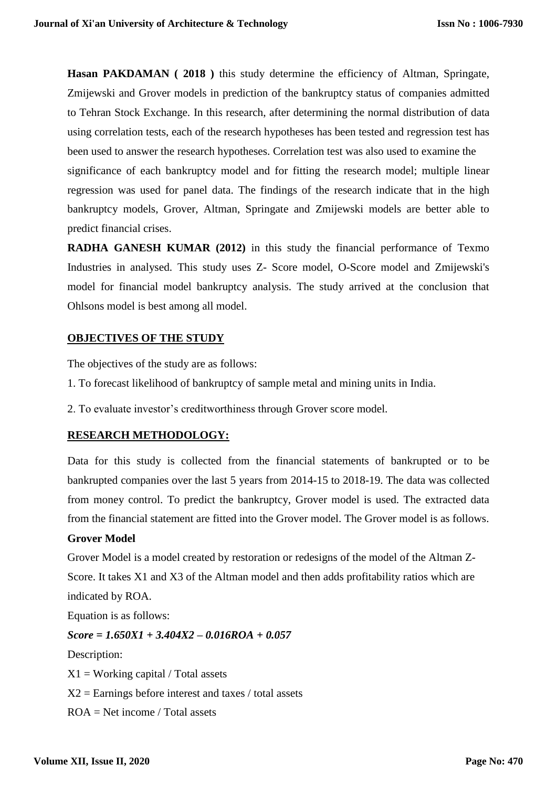**Hasan PAKDAMAN ( 2018 )** this study determine the efficiency of Altman, Springate, Zmijewski and Grover models in prediction of the bankruptcy status of companies admitted to Tehran Stock Exchange. In this research, after determining the normal distribution of data using correlation tests, each of the research hypotheses has been tested and regression test has been used to answer the research hypotheses. Correlation test was also used to examine the significance of each bankruptcy model and for fitting the research model; multiple linear regression was used for panel data. The findings of the research indicate that in the high bankruptcy models, Grover, Altman, Springate and Zmijewski models are better able to predict financial crises.

**RADHA GANESH KUMAR (2012)** in this study the financial performance of Texmo Industries in analysed. This study uses Z- Score model, O-Score model and Zmijewski's model for financial model bankruptcy analysis. The study arrived at the conclusion that Ohlsons model is best among all model.

#### **OBJECTIVES OF THE STUDY**

The objectives of the study are as follows:

- 1. To forecast likelihood of bankruptcy of sample metal and mining units in India.
- 2. To evaluate investor's creditworthiness through Grover score model.

#### **RESEARCH METHODOLOGY:**

Data for this study is collected from the financial statements of bankrupted or to be bankrupted companies over the last 5 years from 2014-15 to 2018-19. The data was collected from money control. To predict the bankruptcy, Grover model is used. The extracted data from the financial statement are fitted into the Grover model. The Grover model is as follows.

#### **Grover Model**

Grover Model is a model created by restoration or redesigns of the model of the Altman Z-Score. It takes X1 and X3 of the Altman model and then adds profitability ratios which are indicated by ROA.

Equation is as follows:

*Score = 1.650X1 + 3.404X2 – 0.016ROA + 0.057*

Description:

 $X1 = Working capital / Total assets$ 

 $X2 =$  Earnings before interest and taxes / total assets

ROA = Net income / Total assets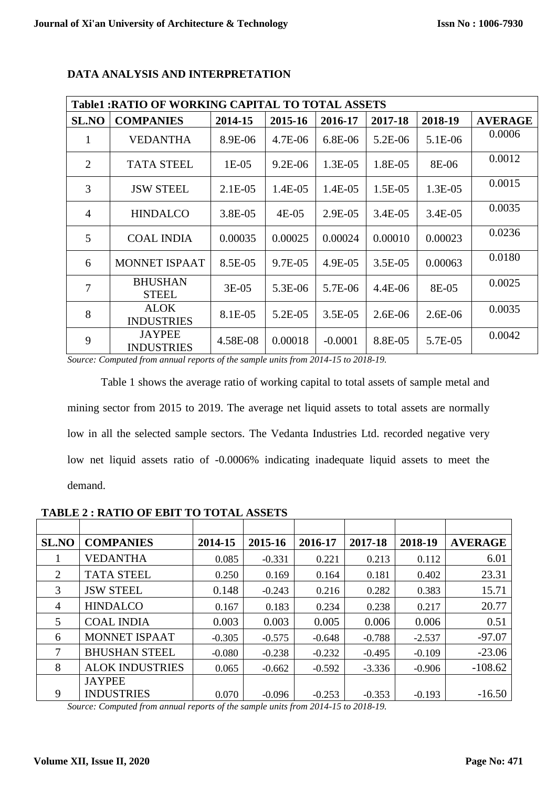| <b>Table1: RATIO OF WORKING CAPITAL TO TOTAL ASSETS</b> |                                    |            |           |           |           |            |                |  |
|---------------------------------------------------------|------------------------------------|------------|-----------|-----------|-----------|------------|----------------|--|
| <b>SL.NO</b>                                            | <b>COMPANIES</b>                   | 2014-15    | 2015-16   | 2016-17   | 2017-18   | 2018-19    | <b>AVERAGE</b> |  |
| 1                                                       | <b>VEDANTHA</b>                    | 8.9E-06    | 4.7E-06   | 6.8E-06   | 5.2E-06   | 5.1E-06    | 0.0006         |  |
| $\overline{2}$                                          | <b>TATA STEEL</b>                  | $1E-05$    | $9.2E-06$ | 1.3E-05   | 1.8E-05   | 8E-06      | 0.0012         |  |
| 3                                                       | <b>JSW STEEL</b>                   | $2.1E-05$  | 1.4E-05   | 1.4E-05   | 1.5E-05   | $1.3E-0.5$ | 0.0015         |  |
| $\overline{4}$                                          | <b>HINDALCO</b>                    | $3.8E-0.5$ | 4E-05     | 2.9E-05   | 3.4E-05   | $3.4E-0.5$ | 0.0035         |  |
| 5                                                       | <b>COAL INDIA</b>                  | 0.00035    | 0.00025   | 0.00024   | 0.00010   | 0.00023    | 0.0236         |  |
| 6                                                       | <b>MONNET ISPAAT</b>               | 8.5E-05    | 9.7E-05   | 4.9E-05   | $3.5E-05$ | 0.00063    | 0.0180         |  |
| 7                                                       | <b>BHUSHAN</b><br><b>STEEL</b>     | $3E-05$    | 5.3E-06   | 5.7E-06   | $4.4E-06$ | 8E-05      | 0.0025         |  |
| 8                                                       | <b>ALOK</b><br><b>INDUSTRIES</b>   | 8.1E-05    | 5.2E-05   | $3.5E-05$ | $2.6E-06$ | $2.6E-06$  | 0.0035         |  |
| 9                                                       | <b>JAYPEE</b><br><b>INDUSTRIES</b> | 4.58E-08   | 0.00018   | $-0.0001$ | 8.8E-05   | 5.7E-05    | 0.0042         |  |

#### **DATA ANALYSIS AND INTERPRETATION**

*Source: Computed from annual reports of the sample units from 2014-15 to 2018-19.*

Table 1 shows the average ratio of working capital to total assets of sample metal and mining sector from 2015 to 2019. The average net liquid assets to total assets are normally low in all the selected sample sectors. The Vedanta Industries Ltd. recorded negative very low net liquid assets ratio of -0.0006% indicating inadequate liquid assets to meet the demand.

| <b>SL.NO</b>   | <b>COMPANIES</b>       | 2014-15  | 2015-16  | 2016-17  | 2017-18  | 2018-19  | <b>AVERAGE</b> |
|----------------|------------------------|----------|----------|----------|----------|----------|----------------|
|                | <b>VEDANTHA</b>        | 0.085    | $-0.331$ | 0.221    | 0.213    | 0.112    | 6.01           |
| $\overline{2}$ | <b>TATA STEEL</b>      | 0.250    | 0.169    | 0.164    | 0.181    | 0.402    | 23.31          |
| 3              | <b>JSW STEEL</b>       | 0.148    | $-0.243$ | 0.216    | 0.282    | 0.383    | 15.71          |
| $\overline{4}$ | <b>HINDALCO</b>        | 0.167    | 0.183    | 0.234    | 0.238    | 0.217    | 20.77          |
| 5              | <b>COAL INDIA</b>      | 0.003    | 0.003    | 0.005    | 0.006    | 0.006    | 0.51           |
| 6              | <b>MONNET ISPAAT</b>   | $-0.305$ | $-0.575$ | $-0.648$ | $-0.788$ | $-2.537$ | $-97.07$       |
| 7              | <b>BHUSHAN STEEL</b>   | $-0.080$ | $-0.238$ | $-0.232$ | $-0.495$ | $-0.109$ | $-23.06$       |
| 8              | <b>ALOK INDUSTRIES</b> | 0.065    | $-0.662$ | $-0.592$ | $-3.336$ | $-0.906$ | $-108.62$      |
|                | <b>JAYPEE</b>          |          |          |          |          |          |                |
| 9              | <b>INDUSTRIES</b>      | 0.070    | $-0.096$ | $-0.253$ | $-0.353$ | $-0.193$ | $-16.50$       |

**TABLE 2 : RATIO OF EBIT TO TOTAL ASSETS**

*Source: Computed from annual reports of the sample units from 2014-15 to 2018-19.*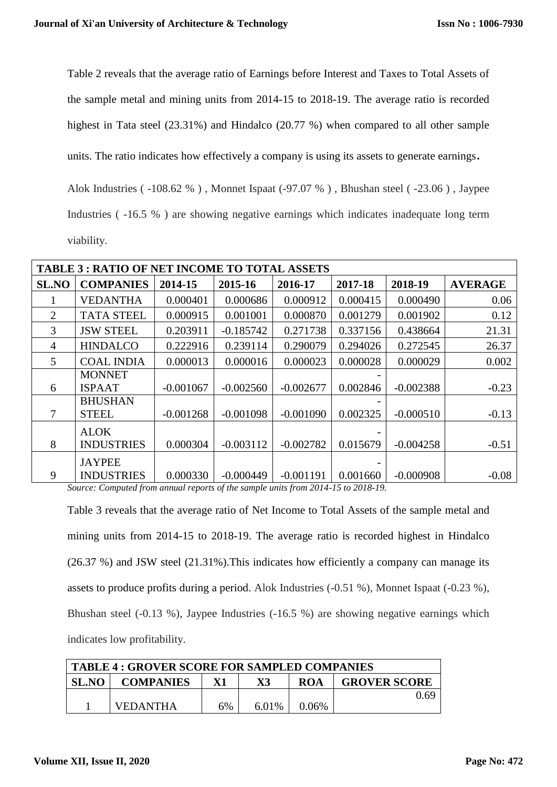Table 2 reveals that the average ratio of Earnings before Interest and Taxes to Total Assets of the sample metal and mining units from 2014-15 to 2018-19. The average ratio is recorded highest in Tata steel (23.31%) and Hindalco (20.77 %) when compared to all other sample units. The ratio indicates how effectively a company is using its [assets](https://www.investopedia.com/terms/a/asset.asp) to generate earnings. Alok Industries ( -108.62 % ) , Monnet Ispaat (-97.07 % ) , Bhushan steel ( -23.06 ) , Jaypee Industries ( -16.5 % ) are showing negative earnings which indicates inadequate long term viability.

| <b>TABLE 3: RATIO OF NET INCOME TO TOTAL ASSETS</b> |                   |             |             |             |          |             |                |
|-----------------------------------------------------|-------------------|-------------|-------------|-------------|----------|-------------|----------------|
| <b>SL.NO</b>                                        | <b>COMPANIES</b>  | 2014-15     | 2015-16     | 2016-17     | 2017-18  | 2018-19     | <b>AVERAGE</b> |
|                                                     | <b>VEDANTHA</b>   | 0.000401    | 0.000686    | 0.000912    | 0.000415 | 0.000490    | 0.06           |
| 2                                                   | <b>TATA STEEL</b> | 0.000915    | 0.001001    | 0.000870    | 0.001279 | 0.001902    | 0.12           |
| 3                                                   | <b>JSW STEEL</b>  | 0.203911    | $-0.185742$ | 0.271738    | 0.337156 | 0.438664    | 21.31          |
| $\overline{4}$                                      | <b>HINDALCO</b>   | 0.222916    | 0.239114    | 0.290079    | 0.294026 | 0.272545    | 26.37          |
| 5                                                   | <b>COAL INDIA</b> | 0.000013    | 0.000016    | 0.000023    | 0.000028 | 0.000029    | 0.002          |
|                                                     | <b>MONNET</b>     |             |             |             |          |             |                |
| 6                                                   | <b>ISPAAT</b>     | $-0.001067$ | $-0.002560$ | $-0.002677$ | 0.002846 | $-0.002388$ | $-0.23$        |
|                                                     | <b>BHUSHAN</b>    |             |             |             |          |             |                |
| 7                                                   | <b>STEEL</b>      | $-0.001268$ | $-0.001098$ | $-0.001090$ | 0.002325 | $-0.000510$ | $-0.13$        |
|                                                     | <b>ALOK</b>       |             |             |             |          |             |                |
| 8                                                   | <b>INDUSTRIES</b> | 0.000304    | $-0.003112$ | $-0.002782$ | 0.015679 | $-0.004258$ | $-0.51$        |
|                                                     | <b>JAYPEE</b>     |             |             |             |          |             |                |
| 9                                                   | <b>INDUSTRIES</b> | 0.000330    | $-0.000449$ | $-0.001191$ | 0.001660 | $-0.000908$ | $-0.08$        |

*Source: Computed from annual reports of the sample units from 2014-15 to 2018-19.*

Table 3 reveals that the average ratio of Net Income to Total Assets of the sample metal and mining units from 2014-15 to 2018-19. The average ratio is recorded highest in Hindalco (26.37 %) and JSW steel (21.31%).This indicates how efficiently a company can manage its assets to produce profits during a period. Alok Industries (-0.51 %), Monnet Ispaat (-0.23 %), Bhushan steel (-0.13 %), Jaypee Industries (-16.5 %) are showing negative earnings which indicates low profitability.

| TABLE 4 : GROVER SCORE FOR SAMPLED COMPANIES |                 |    |       |          |                     |
|----------------------------------------------|-----------------|----|-------|----------|---------------------|
| <b>SL.NO</b><br><b>COMPANIES</b><br>ROA      |                 |    |       |          | <b>GROVER SCORE</b> |
|                                              |                 |    |       |          | 0.69                |
|                                              | <b>VEDANTHA</b> | 6% | 6.01% | $0.06\%$ |                     |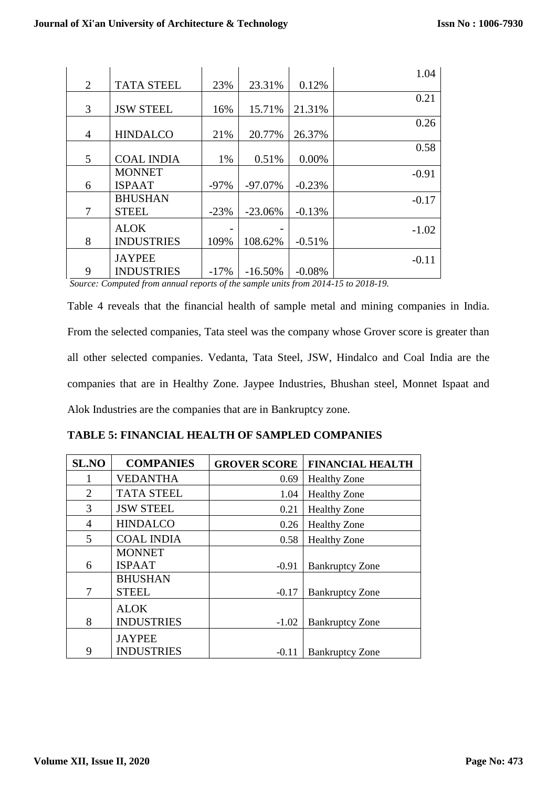|   |                   |        |            |          | 1.04    |
|---|-------------------|--------|------------|----------|---------|
| 2 | <b>TATA STEEL</b> | 23%    | 23.31%     | 0.12%    |         |
|   |                   |        |            |          | 0.21    |
| 3 | <b>JSW STEEL</b>  | 16%    | 15.71%     | 21.31%   |         |
|   |                   |        |            |          | 0.26    |
| 4 | <b>HINDALCO</b>   | 21%    | 20.77%     | 26.37%   |         |
|   |                   |        |            |          | 0.58    |
| 5 | <b>COAL INDIA</b> | 1%     | 0.51%      | 0.00%    |         |
|   | <b>MONNET</b>     |        |            |          | $-0.91$ |
| 6 | <b>ISPAAT</b>     | $-97%$ | $-97.07\%$ | $-0.23%$ |         |
|   | <b>BHUSHAN</b>    |        |            |          | $-0.17$ |
| 7 | <b>STEEL</b>      | $-23%$ | $-23.06%$  | $-0.13%$ |         |
|   | <b>ALOK</b>       |        |            |          | $-1.02$ |
| 8 | <b>INDUSTRIES</b> | 109%   | 108.62%    | $-0.51%$ |         |
|   | <b>JAYPEE</b>     |        |            |          | $-0.11$ |
| 9 | <b>INDUSTRIES</b> | $-17%$ | $-16.50%$  | $-0.08%$ |         |

*Source: Computed from annual reports of the sample units from 2014-15 to 2018-19.*

Table 4 reveals that the financial health of sample metal and mining companies in India. From the selected companies, Tata steel was the company whose Grover score is greater than all other selected companies. Vedanta, Tata Steel, JSW, Hindalco and Coal India are the companies that are in Healthy Zone. Jaypee Industries, Bhushan steel, Monnet Ispaat and Alok Industries are the companies that are in Bankruptcy zone.

| <b>TABLE 5: FINANCIAL HEALTH OF SAMPLED COMPANIES</b> |  |  |  |
|-------------------------------------------------------|--|--|--|
|-------------------------------------------------------|--|--|--|

| <b>SL.NO</b> | <b>COMPANIES</b>  | <b>GROVER SCORE</b> | <b>FINANCIAL HEALTH</b> |
|--------------|-------------------|---------------------|-------------------------|
|              | <b>VEDANTHA</b>   | 0.69                | <b>Healthy Zone</b>     |
| 2            | <b>TATA STEEL</b> | 1.04                | <b>Healthy Zone</b>     |
| 3            | <b>JSW STEEL</b>  | 0.21                | <b>Healthy Zone</b>     |
| 4            | <b>HINDALCO</b>   | 0.26                | <b>Healthy Zone</b>     |
| 5            | <b>COAL INDIA</b> | 0.58                | <b>Healthy Zone</b>     |
|              | <b>MONNET</b>     |                     |                         |
| 6            | <b>ISPAAT</b>     | $-0.91$             | <b>Bankruptcy Zone</b>  |
|              | <b>BHUSHAN</b>    |                     |                         |
| 7            | <b>STEEL</b>      | $-0.17$             | <b>Bankruptcy Zone</b>  |
|              | <b>ALOK</b>       |                     |                         |
| 8            | <b>INDUSTRIES</b> | $-1.02$             | <b>Bankruptcy Zone</b>  |
|              | <b>JAYPEE</b>     |                     |                         |
| 9            | <b>INDUSTRIES</b> | $-0.11$             | <b>Bankruptcy Zone</b>  |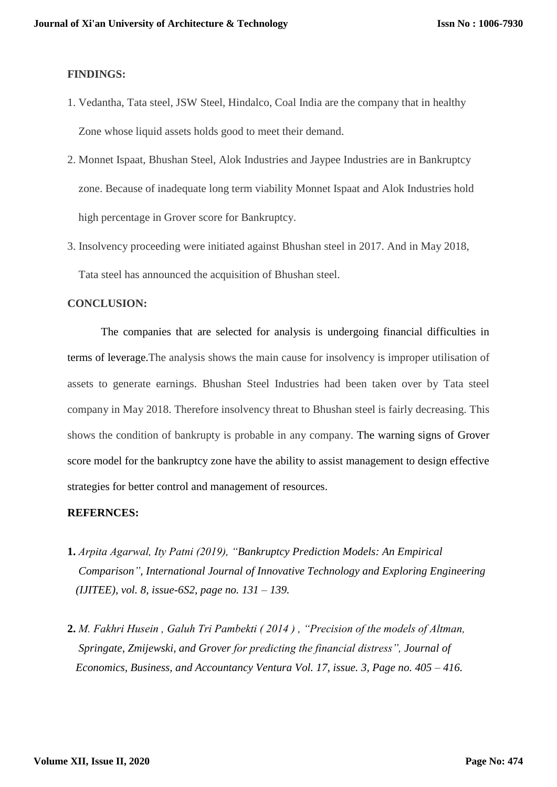#### **FINDINGS:**

- 1. Vedantha, Tata steel, JSW Steel, Hindalco, Coal India are the company that in healthy Zone whose liquid assets holds good to meet their demand.
- 2. Monnet Ispaat, Bhushan Steel, Alok Industries and Jaypee Industries are in Bankruptcy zone. Because of inadequate long term viability Monnet Ispaat and Alok Industries hold high percentage in Grover score for Bankruptcy.
- 3. Insolvency proceeding were initiated against Bhushan steel in 2017. And in May 2018, Tata steel has announced the acquisition of Bhushan steel.

#### **CONCLUSION:**

The companies that are selected for analysis is undergoing financial difficulties in terms of leverage.The analysis shows the main cause for insolvency is improper utilisation of assets to generate earnings. Bhushan Steel Industries had been taken over by Tata steel company in May 2018. Therefore insolvency threat to Bhushan steel is fairly decreasing. This shows the condition of bankrupty is probable in any company. The warning signs of Grover score model for the bankruptcy zone have the ability to assist management to design effective strategies for better control and management of resources.

#### **REFERNCES:**

- **1.** *Arpita Agarwal, Ity Patni (2019), "Bankruptcy Prediction Models: An Empirical Comparison", International Journal of Innovative Technology and Exploring Engineering (IJITEE), vol. 8, issue-6S2, page no. 131 – 139.*
- **2.** *M. Fakhri Husein , Galuh Tri Pambekti ( 2014 ) , "Precision of the models of Altman, Springate, Zmijewski, and Grover for predicting the financial distress", Journal of Economics, Business, and Accountancy Ventura Vol. 17, issue. 3, Page no. 405 – 416.*